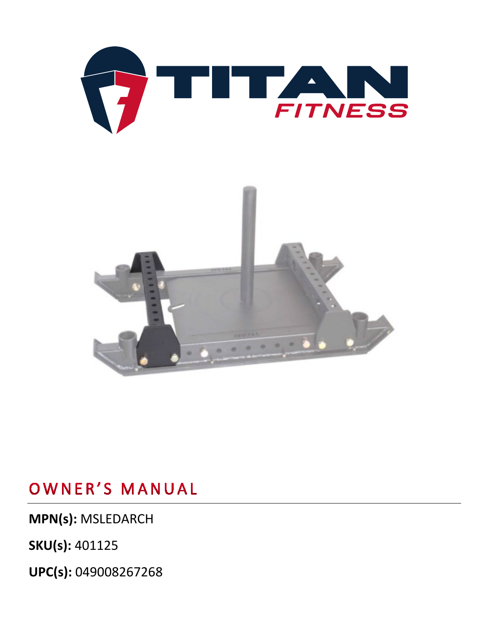

**MPN(s):** MSLEDARCH

**SKU(s):** 401125

**UPC(s):** 049008267268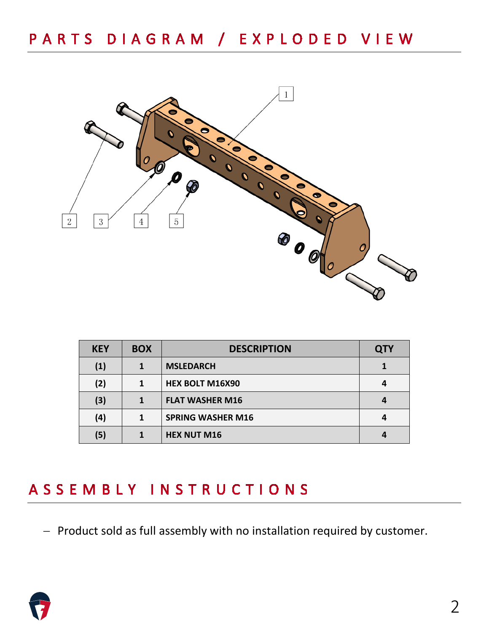

| <b>KEY</b>        | <b>BOX</b> | <b>DESCRIPTION</b>       | <b>QTY</b> |
|-------------------|------------|--------------------------|------------|
| $\left( 1\right)$ | 1          | <b>MSLEDARCH</b>         |            |
| (2)               | 1          | <b>HEX BOLT M16X90</b>   |            |
| (3)               |            | <b>FLAT WASHER M16</b>   |            |
| (4)               |            | <b>SPRING WASHER M16</b> |            |
| (5)               |            | <b>HEX NUT M16</b>       |            |

## ASSEMBLY INSTRUCTIONS

− Product sold as full assembly with no installation required by customer.